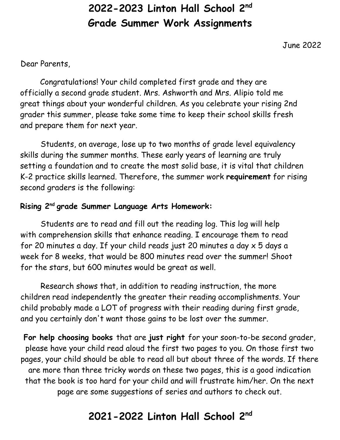# **2022-2023 Linton Hall School 2nd Grade Summer Work Assignments**

June 2022

Dear Parents,

Congratulations! Your child completed first grade and they are officially a second grade student. Mrs. Ashworth and Mrs. Alipio told me great things about your wonderful children. As you celebrate your rising 2nd grader this summer, please take some time to keep their school skills fresh and prepare them for next year.

Students, on average, lose up to two months of grade level equivalency skills during the summer months. These early years of learning are truly setting a foundation and to create the most solid base, it is vital that children K-2 practice skills learned. Therefore, the summer work **requirement** for rising second graders is the following:

### **Rising 2 nd grade Summer Language Arts Homework:**

Students are to read and fill out the reading log. This log will help with comprehension skills that enhance reading. I encourage them to read for 20 minutes a day. If your child reads just 20 minutes a day x 5 days a week for 8 weeks, that would be 800 minutes read over the summer! Shoot for the stars, but 600 minutes would be great as well.

Research shows that, in addition to reading instruction, the more children read independently the greater their reading accomplishments. Your child probably made a LOT of progress with their reading during first grade, and you certainly don't want those gains to be lost over the summer.

**For help choosing books** that are **just right** for your soon-to-be second grader, please have your child read aloud the first two pages to you. On those first two pages, your child should be able to read all but about three of the words. If there are more than three tricky words on these two pages, this is a good indication that the book is too hard for your child and will frustrate him/her. On the next page are some suggestions of series and authors to check out.

# **2021-2022 Linton Hall School 2nd**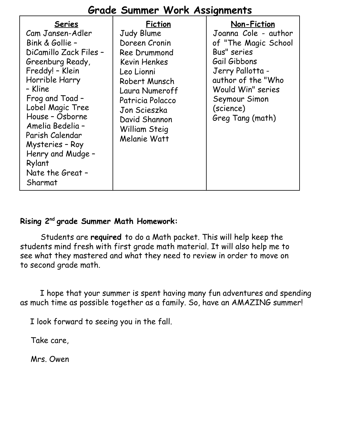## **Grade Summer Work Assignments**

| <b>Series</b><br>Cam Jansen-Adler<br>Bink & Gollie -<br>DiCamillo Zack Files -<br>Greenburg Ready,<br>Freddy! - Klein<br>Horrible Harry<br>- Kline<br>Frog and Toad -<br>Lobel Magic Tree<br>House - Osborne<br>Amelia Bedelia -<br>Parish Calendar<br>Mysteries - Roy<br>Henry and Mudge -<br>Rylant<br>Nate the Great -<br>Sharmat | <b>Fiction</b><br>Judy Blume<br>Doreen Cronin<br>Ree Drummond<br><b>Kevin Henkes</b><br>Leo Lionni<br>Robert Munsch<br>Laura Numeroff<br>Patricia Polacco<br>Jon Scieszka<br>David Shannon<br>William Steig<br>Melanie Watt | Non-Fiction<br>Joanna Cole - author<br>of "The Magic School<br>Bus" series<br>Gail Gibbons<br>Jerry Pallotta -<br>author of the "Who<br>Would Win" series<br>Seymour Simon<br>(science)<br>Greg Tang (math) |
|--------------------------------------------------------------------------------------------------------------------------------------------------------------------------------------------------------------------------------------------------------------------------------------------------------------------------------------|-----------------------------------------------------------------------------------------------------------------------------------------------------------------------------------------------------------------------------|-------------------------------------------------------------------------------------------------------------------------------------------------------------------------------------------------------------|
|--------------------------------------------------------------------------------------------------------------------------------------------------------------------------------------------------------------------------------------------------------------------------------------------------------------------------------------|-----------------------------------------------------------------------------------------------------------------------------------------------------------------------------------------------------------------------------|-------------------------------------------------------------------------------------------------------------------------------------------------------------------------------------------------------------|

#### **Rising 2 nd grade Summer Math Homework:**

Students are **required** to do a Math packet. This will help keep the students mind fresh with first grade math material. It will also help me to see what they mastered and what they need to review in order to move on to second grade math.

I hope that your summer is spent having many fun adventures and spending as much time as possible together as a family. So, have an AMAZING summer!

I look forward to seeing you in the fall.

Take care,

Mrs. Owen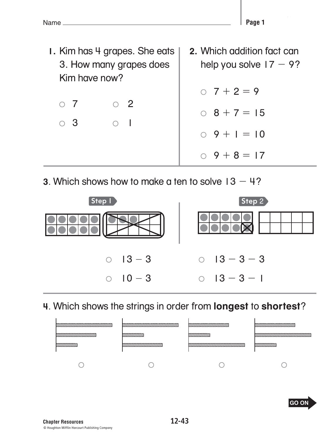**1.** Kim has 4 grapes. She eats 3. How many grapes does Kim have now?  $\circ$  7  $\circ$  2  $\circ$  3  $\circ$  1  **2.** Which addition fact can help you solve  $17 - 9$ ?  $0 \t7 + 2 = 9$  $0 \quad 8 + 7 = 15$  $0 \cdot 9 + 1 = 10$  $0 \quad 9 + 8 = 17$ 

**3**. Which shows how to make a ten to solve 13 − 4?



**4**. Which shows the strings in order from **longest** to **shortest**?

| <u> UNIVERSITE STATE STATE STATE STATE STATE ST</u>   | <u> UNITED STATES STATES STATES STATES STATES STATES STATES STATES STATES STATES STATES STATES STATES STATES STATES ST</u> | 8777777777777777 |                        |
|-------------------------------------------------------|----------------------------------------------------------------------------------------------------------------------------|------------------|------------------------|
| <u> Common ann an Common ann an Ainm ann an 1970.</u> |                                                                                                                            |                  | <u> KAMAMAN MANAMA</u> |
|                                                       | CONSTITUTION TO MAX                                                                                                        |                  |                        |
|                                                       |                                                                                                                            |                  |                        |
|                                                       |                                                                                                                            |                  |                        |

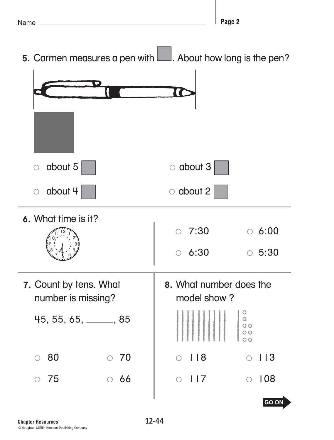- ۱, , .<br>, . ||<br>|/ Ē. 2 1 **5.** Carmen measures a pen with **Lude About how long is the pen?**  $\circ$  about 5  $\qquad \circ$  about 3  $\circ$  about 4  $\bullet$   $\circ$  about 2  **6.** What time is it?  $0.7:30$   $0.6:00$  $0.6:30$   $0.5:30$
- **7.** Count by tens. What number is missing?

نی

ć

نسىسە

45, 55, 65, 5, 85

- $\circ$  80  $\circ$  70
- $\circ$  75  $\circ$  66

 **8.** What number does the model show ?

$$
\circ \quad 118 \qquad \qquad \circ \quad 113
$$

 $\circ$  117  $\circ$  108

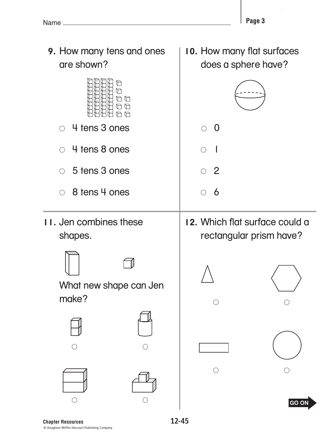

© Houghton Mifflin Harcourt Publishing Company **Chapter Resources** 

**12-45**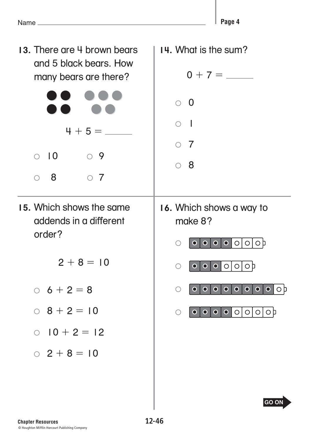**End-of-Year Test**

**Page 4**

**14.** What is the sum?

| and 5 black bears. How<br>many bears are there?              | $0 + 7 =$                                                                                    |
|--------------------------------------------------------------|----------------------------------------------------------------------------------------------|
|                                                              | $\circ$ 0                                                                                    |
| $4 + 5 =$                                                    | - 1<br>$\circ$ 7                                                                             |
| $\overline{10}$<br>$\circ$ 9<br>$\bigcirc$<br>8<br>$\circ$ 7 | $\circ$ 8                                                                                    |
| 15. Which shows the same<br>addends in a different<br>order? | 16. Which shows a way to<br>make 8?                                                          |
| $2 + 8 = 10$                                                 | $\bullet$ $\bullet$ $\circ$<br>O/O<br>$\bullet$<br>O                                         |
|                                                              | $  \bullet   \circ   \circ   \circ  $<br>$\overline{\bullet}$<br>$\bigcirc$<br>$\bullet$     |
| $0\; 6 + 2 = 8$                                              | 0 <br>$\bullet$<br>$\bullet$<br>$\bullet$<br>$\bullet$<br>◯<br>$\bullet$<br>$\mathbf O$<br>O |
| $0$ 8 + 2 = 10                                               | $\bigcirc$                                                                                   |
| $0$ $10 + 2 = 12$                                            |                                                                                              |
| $0$ 2 + 8 = 10                                               |                                                                                              |
|                                                              | <b>GO ON</b>                                                                                 |

**12-46**

13. There are 4 brown bears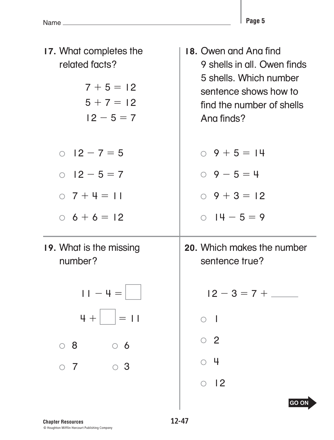L

| 17. What completes the<br>related facts?<br>$7 + 5 = 12$<br>$5 + 7 = 12$<br>$12 - 5 = 7$ | 18. Owen and Ana find<br>9 shells in all. Owen finds<br>5 shells. Which number<br>sentence shows how to<br>find the number of shells<br>Ang finds? |
|------------------------------------------------------------------------------------------|----------------------------------------------------------------------------------------------------------------------------------------------------|
| $0$ 12 – 7 = 5                                                                           | $0 \t9 + 5 = 14$                                                                                                                                   |
| $0$ 12 - 5 = 7                                                                           | $0 \quad 9 - 5 = 4$                                                                                                                                |
| $0 \t7 + 4 = 11$                                                                         | $0 \quad 9 + 3 = 12$                                                                                                                               |
| $6 + 6 = 12$                                                                             | $0$ $14 - 5 = 9$                                                                                                                                   |
| 19. What is the missing<br>number?                                                       | 20. Which makes the number<br>sentence true?                                                                                                       |
| $11 - 4 =$                                                                               | $12 - 3 = 7 + \_$                                                                                                                                  |
| $4 +$<br>$=$ 11                                                                          |                                                                                                                                                    |
| $\circ$ 8<br>$\circ$ 6                                                                   | $\circ$ 2                                                                                                                                          |
| $\circ$ 3<br>$\circ$ 7                                                                   | 4                                                                                                                                                  |
|                                                                                          | 12<br>$\bigcirc$                                                                                                                                   |
|                                                                                          | <b>GO ON</b>                                                                                                                                       |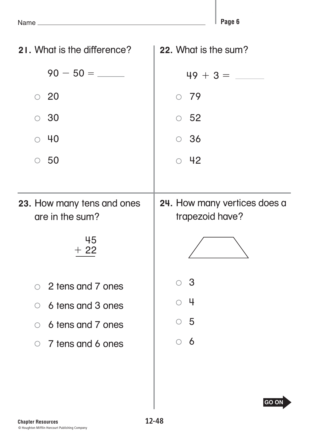I.

| 21. What is the difference?                   | 22. What is the sum?                            |
|-----------------------------------------------|-------------------------------------------------|
|                                               |                                                 |
| $\circ$ 20                                    | $\circ$ 79                                      |
| $\circ$ 30                                    | $\circ$ 52                                      |
| $\circ$ 40                                    | $\circ$ 36                                      |
| $\circ$ 50                                    | $\circ$ 42                                      |
|                                               |                                                 |
| 23. How many tens and ones<br>are in the sum? | 24. How many vertices does a<br>trapezoid have? |
|                                               |                                                 |
| 45<br>$+22$                                   |                                                 |
| ○ 2 tens and 7 ones                           | З                                               |
| 6 tens and 3 ones<br>$\bigcirc$               | ц                                               |
| 6 tens and 7 ones<br>$\bigcirc$               | $\circ$ 5                                       |
| $\circ$ 7 tens and 6 ones                     | <u>6</u><br>$\bigcirc$                          |
|                                               |                                                 |
|                                               |                                                 |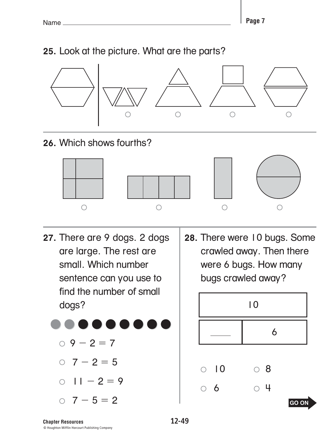## **25.** Look at the picture. What are the parts?



### **26.** Which shows fourths?



- **27.** There are 9 dogs. 2 dogs are large. The rest are small. Which number sentence can you use to find the number of small dogs?
- **28.** There were 10 bugs. Some crawled away. Then there were 6 bugs. How many bugs crawled away?



 $9 - 2 = 7$ 

 $0 \quad 7 - 2 = 5$ 

 $0$   $11 - 2 = 9$ 

 $0 \quad 7 - 5 = 2$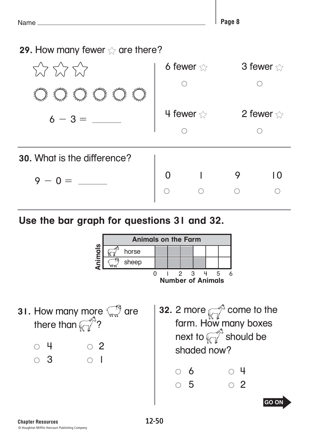**Page 8**

**29.** How many fewer  $\sqrt{x}$  are there?

| <b>Formal</b><br><b>Formal</b><br><b>France</b><br>दे<br>बु<br>≸<br>é<br>ई | 6 fewer $\sqrt{ }$ |   | 3 fewer $\sqrt{ }$ |
|----------------------------------------------------------------------------|--------------------|---|--------------------|
|                                                                            | 4 fewer $\sqrt{ }$ |   | 2 fewer $\sqrt{ }$ |
| 30. What is the difference?                                                |                    |   |                    |
| $9 - 0 =$                                                                  |                    | 9 |                    |
|                                                                            |                    |   |                    |

# **Use the bar graph for questions 31 and 32.**

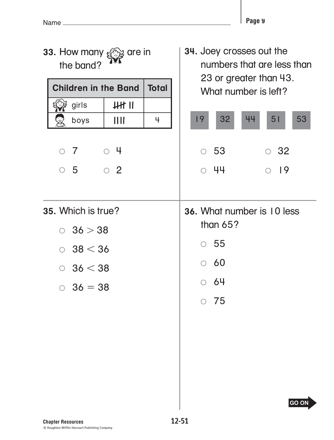L

| 33. How many $\mathcal{Q} \ni$ are in<br>the band?                                                                                                                                            | 34. Joey crosses out the<br>numbers that are less than<br>23 or greater than 43.                           |  |  |
|-----------------------------------------------------------------------------------------------------------------------------------------------------------------------------------------------|------------------------------------------------------------------------------------------------------------|--|--|
| <b>Children in the Band</b><br><b>Total</b><br>$HH$ $II$<br>girls<br>III<br>4<br>boys<br>$\begin{array}{c} \circ & \circ \\ \circ & \circ \end{array}$<br>$\circ$ 7<br>$\circ$ 2<br>$\circ$ 5 | What number is left?<br>32<br>53<br>19<br>44<br>51<br>$\circ$ 53<br>32<br>$\bigcirc$<br>- 44<br>$\circ$ 19 |  |  |
| 35. Which is true?<br>$0\;36 > 38$<br>38 < 36<br>$\bigcirc$<br>$0\;36 < 38$<br>$36 = 38$                                                                                                      | 36. What number is 10 less<br>than $65?$<br>$\circ$ 55<br>60<br>$\bigcirc$<br>64<br>75<br><b>GO ON</b>     |  |  |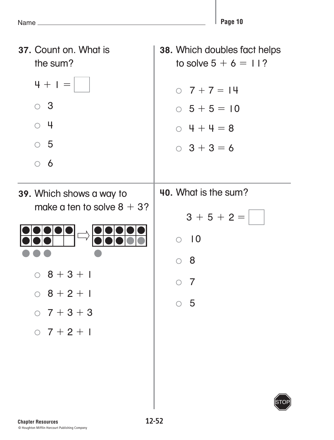STOP

**37.** Count on. What is the sum?  $4 + 1 =$  3  $\circ$  4 5  $\circ$  6 **39.** Which shows a way to make a ten to solve  $8 + 3$ ?  $0 \t8 + 3 + 1$  $0 \t8 + 2 + 1$  $0 \t7 + 3 + 3$  $0 \t7 + 2 + 1$ **38.** Which doubles fact helps to solve  $5 + 6 = 11$ ?  $0 \quad 7 + 7 = 14$  $0\ 5 + 5 = 10$  $0 4 + 4 = 8$  $0 \quad 3 + 3 = 6$ **40.** What is the sum?  $3 + 5 + 2 =$  $\circ$  10 8  $\circ$  7  $\circ$  5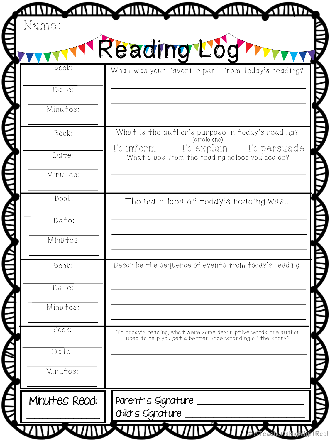|               | Reading Log                                                                                                                  |
|---------------|------------------------------------------------------------------------------------------------------------------------------|
| Book:         | What was your favorite part from today's reading?                                                                            |
| Date:         |                                                                                                                              |
| Minutes:      |                                                                                                                              |
| Book:         | What is the author's purpose in today's reading?<br>(circle one)                                                             |
| Date:         | To persuade<br>To inform<br>To explain<br>What clues from the reading helped you decide?                                     |
| Minutes:      |                                                                                                                              |
| Book:         | The main idea of today's reading was                                                                                         |
| Date:         |                                                                                                                              |
| Minutes:      |                                                                                                                              |
| Book:         | Describe the sequence of events from today's reading.                                                                        |
| Date:         |                                                                                                                              |
| Minutes:      |                                                                                                                              |
| Book:         | In today's reading, what were some descriptive words the author<br>used to help you get a better understanding of the story? |
| Date:         |                                                                                                                              |
| Minutes:      |                                                                                                                              |
| Minutes Read: | Parent's Signature                                                                                                           |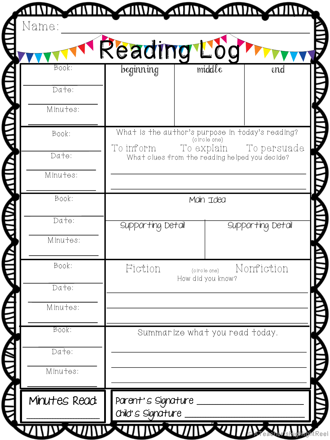|               | Reading Loc        |                                                                          |                   |
|---------------|--------------------|--------------------------------------------------------------------------|-------------------|
| Book:         | beginning          | middle                                                                   | end               |
| Date:         |                    |                                                                          |                   |
| Minutes:      |                    |                                                                          |                   |
| Book:         |                    | What is the author's purpose in today's reading?<br>(circle one)         |                   |
| Date:         | To inform          | To explain To persuade<br>What clues from the reading helped you decide? |                   |
| Minutes:      |                    |                                                                          |                   |
| Book:         |                    | Main Idea                                                                |                   |
| Date:         |                    |                                                                          |                   |
|               | Supporting Detail  |                                                                          | Supporting Detail |
| Minutes:      |                    |                                                                          |                   |
| Book:         | Fiction            | (circle one)                                                             | Nonfiction        |
| Date:         |                    | How did you know?                                                        |                   |
| Minutes:      |                    |                                                                          |                   |
| Book:         |                    | Summarize what you read today.                                           |                   |
| Date:         |                    |                                                                          |                   |
| Minutes:      |                    |                                                                          |                   |
| Minutes Read: | Parent's Signature |                                                                          |                   |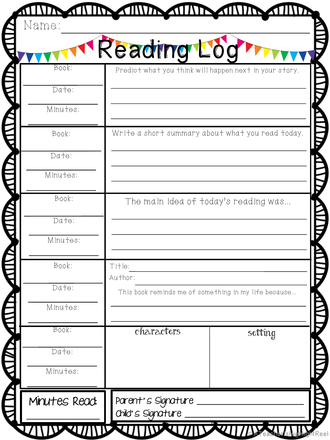| Book:<br>Date:             | Reading Log       | Predict what you think will happen next in your story. |
|----------------------------|-------------------|--------------------------------------------------------|
| Minutes:<br>Book:<br>Date: |                   | Write a short summary about what you read today.       |
| Minutes:                   |                   |                                                        |
| Book:                      |                   | The main idea of today's reading was                   |
| Date:<br>Minutes:          |                   |                                                        |
| Book:                      | Title:<br>Author: |                                                        |
| Date:<br>Minutes:          |                   | This book reminds me of something in my life because   |
| Book:                      | characters        | setting                                                |
| Date:                      |                   |                                                        |
| Minutes:                   |                   |                                                        |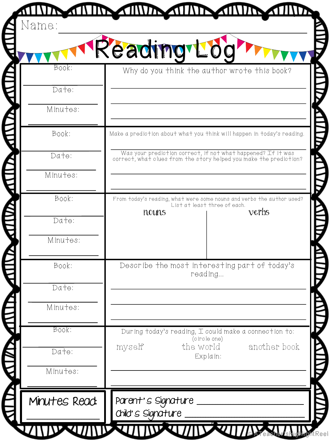| Book:    | Reading Lo | Why do you think the author wrote this book?                                                                                       |
|----------|------------|------------------------------------------------------------------------------------------------------------------------------------|
| Date:    |            |                                                                                                                                    |
| Minutes: |            |                                                                                                                                    |
| Book:    |            | Make a prediction about what you think will happen in today's reading.                                                             |
| Date:    |            | Was your prediction correct, if not what happened? If it was<br>correct, what clues from the story helped you make the prediction? |
| Minutes: |            |                                                                                                                                    |
| Book:    |            | From today's reading, what were some nouns and verbs the author used?<br>List at least three of each.                              |
| Date:    | nouns      | verbs                                                                                                                              |
| Minutes: |            |                                                                                                                                    |
| Book:    |            | Describe the most interesting part of today's<br>reading                                                                           |
| Date:    |            |                                                                                                                                    |
| Minutes: |            |                                                                                                                                    |
| Book:    |            | During today's reading, I could make a connection to:<br>(circle one)                                                              |
| Date:    | myself     | another book<br>the world<br>Explain:                                                                                              |
| Minutes: |            |                                                                                                                                    |